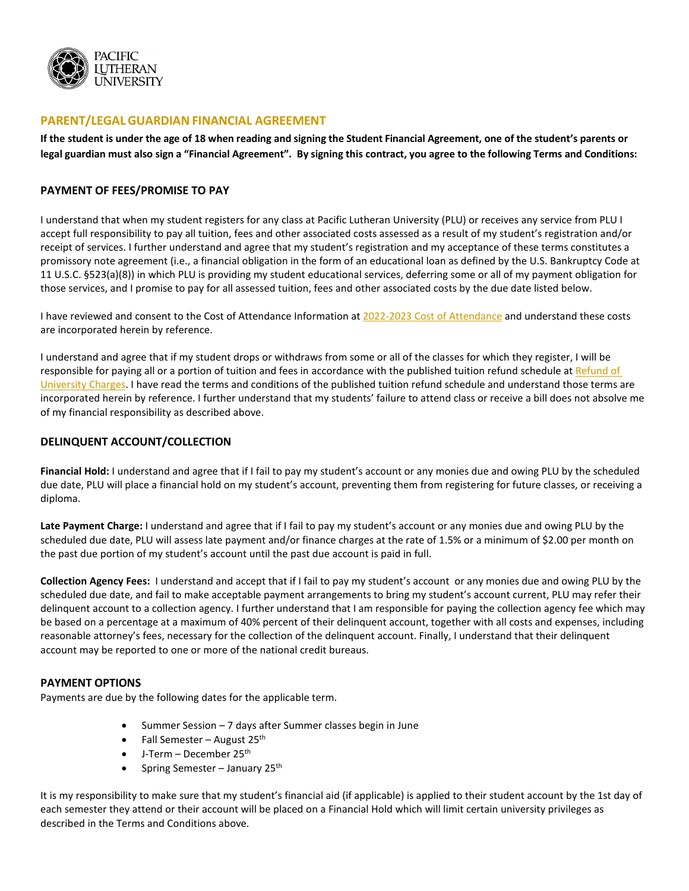

# **PARENT/LEGALGUARDIAN FINANCIAL AGREEMENT**

If the student is under the age of 18 when reading and signing the Student Financial Agreement, one of the student's parents or **legal guardian must also sign a "Financial Agreement". By signing this contract, you agree to the following Terms and Conditions:**

### **PAYMENT OF FEES/PROMISE TO PAY**

I understand that when my student registers for any class at Pacific Lutheran University (PLU) or receives any service from PLU I accept full responsibility to pay all tuition, fees and other associated costs assessed as a result of my student's registration and/or receipt of services. I further understand and agree that my student's registration and my acceptance of these terms constitutes a promissory note agreement (i.e., a financial obligation in the form of an educational loan as defined by the U.S. Bankruptcy Code at 11 U.S.C. §523(a)(8)) in which PLU is providing my student educational services, deferring some or all of my payment obligation for those services, and I promise to pay for all assessed tuition, fees and other associated costs by the due date listed below.

I have reviewed and consent to the Cost of Attendance Information a[t 2022-2023 Cost of Attendance](https://www.plu.edu/student-financial-services/2022-23-cost-information/) and understand these costs are incorporated herein by reference.

I understand and agree that if my student drops or withdraws from some or all of the classes for which they register, I will be responsible for paying all or a portion of tuition and fees in accordance with the published tuition refund schedule at Refund of [University Charges.](https://www.plu.edu/student-financial-services/2022-23-cost-information/#official-full-withdrawal-from-plu1977-48f6) I have read the terms and conditions of the published tuition refund schedule and understand those terms are incorporated herein by reference. I further understand that my students' failure to attend class or receive a bill does not absolve me of my financial responsibility as described above.

## **DELINQUENT ACCOUNT/COLLECTION**

**Financial Hold:** I understand and agree that if I fail to pay my student's account or any monies due and owing PLU by the scheduled due date, PLU will place a financial hold on my student's account, preventing them from registering for future classes, or receiving a diploma.

**Late Payment Charge:** I understand and agree that if I fail to pay my student's account or any monies due and owing PLU by the scheduled due date, PLU will assess late payment and/or finance charges at the rate of 1.5% or a minimum of \$2.00 per month on the past due portion of my student's account until the past due account is paid in full.

**Collection Agency Fees:** I understand and accept that if I fail to pay my student's account or any monies due and owing PLU by the scheduled due date, and fail to make acceptable payment arrangements to bring my student's account current, PLU may refer their delinquent account to a collection agency. I further understand that I am responsible for paying the collection agency fee which may be based on a percentage at a maximum of 40% percent of their delinquent account, together with all costs and expenses, including reasonable attorney's fees, necessary for the collection of the delinquent account. Finally, I understand that their delinquent account may be reported to one or more of the national credit bureaus.

#### **PAYMENT OPTIONS**

Payments are due by the following dates for the applicable term.

- Summer Session 7 days after Summer classes begin in June
- Fall Semester August  $25<sup>th</sup>$
- $\bullet$  J-Term December 25<sup>th</sup>
- Spring Semester January  $25<sup>th</sup>$

It is my responsibility to make sure that my student's financial aid (if applicable) is applied to their student account by the 1st day of each semester they attend or their account will be placed on a Financial Hold which will limit certain university privileges as described in the Terms and Conditions above.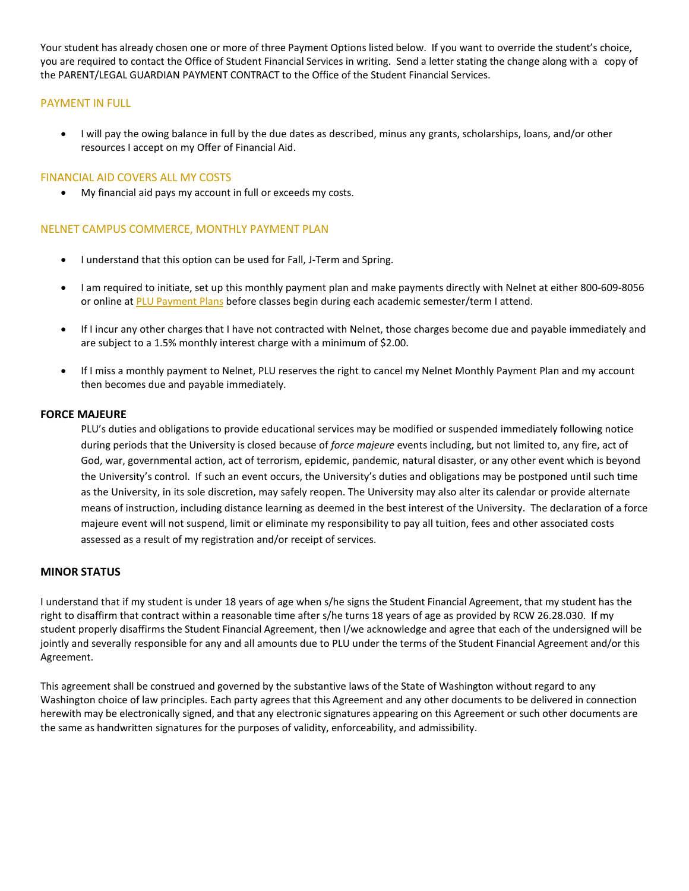Your student has already chosen one or more of three Payment Options listed below. If you want to override the student's choice, you are required to contact the Office of Student Financial Services in writing. Send a letter stating the change along with a copy of the PARENT/LEGAL GUARDIAN PAYMENT CONTRACT to the Office of the Student Financial Services.

## PAYMENT IN FULL

• I will pay the owing balance in full by the due dates as described, minus any grants, scholarships, loans, and/or other resources I accept on my Offer of Financial Aid.

### FINANCIAL AID COVERS ALL MY COSTS

• My financial aid pays my account in full or exceeds my costs.

## NELNET CAMPUS COMMERCE, MONTHLY PAYMENT PLAN

- I understand that this option can be used for Fall, J-Term and Spring.
- I am required to initiate, set up this monthly payment plan and make payments directly with Nelnet at either 800-609-8056 or online at PLU [Payment](http://mycollegepaymentplan.com/plu) Plans before classes begin during each academic semester/term I attend.
- If I incur any other charges that I have not contracted with Nelnet, those charges become due and payable immediately and are subject to a 1.5% monthly interest charge with a minimum of \$2.00.
- If I miss a monthly payment to Nelnet, PLU reserves the right to cancel my Nelnet Monthly Payment Plan and my account then becomes due and payable immediately.

#### **FORCE MAJEURE**

PLU's duties and obligations to provide educational services may be modified or suspended immediately following notice during periods that the University is closed because of *force majeure* events including, but not limited to, any fire, act of God, war, governmental action, act of terrorism, epidemic, pandemic, natural disaster, or any other event which is beyond the University's control. If such an event occurs, the University's duties and obligations may be postponed until such time as the University, in its sole discretion, may safely reopen. The University may also alter its calendar or provide alternate means of instruction, including distance learning as deemed in the best interest of the University. The declaration of a force majeure event will not suspend, limit or eliminate my responsibility to pay all tuition, fees and other associated costs assessed as a result of my registration and/or receipt of services.

# **MINOR STATUS**

I understand that if my student is under 18 years of age when s/he signs the Student Financial Agreement, that my student has the right to disaffirm that contract within a reasonable time after s/he turns 18 years of age as provided by RCW 26.28.030. If my student properly disaffirms the Student Financial Agreement, then I/we acknowledge and agree that each of the undersigned will be jointly and severally responsible for any and all amounts due to PLU under the terms of the Student Financial Agreement and/or this Agreement.

This agreement shall be construed and governed by the substantive laws of the State of Washington without regard to any Washington choice of law principles. Each party agrees that this Agreement and any other documents to be delivered in connection herewith may be electronically signed, and that any electronic signatures appearing on this Agreement or such other documents are the same as handwritten signatures for the purposes of validity, enforceability, and admissibility.